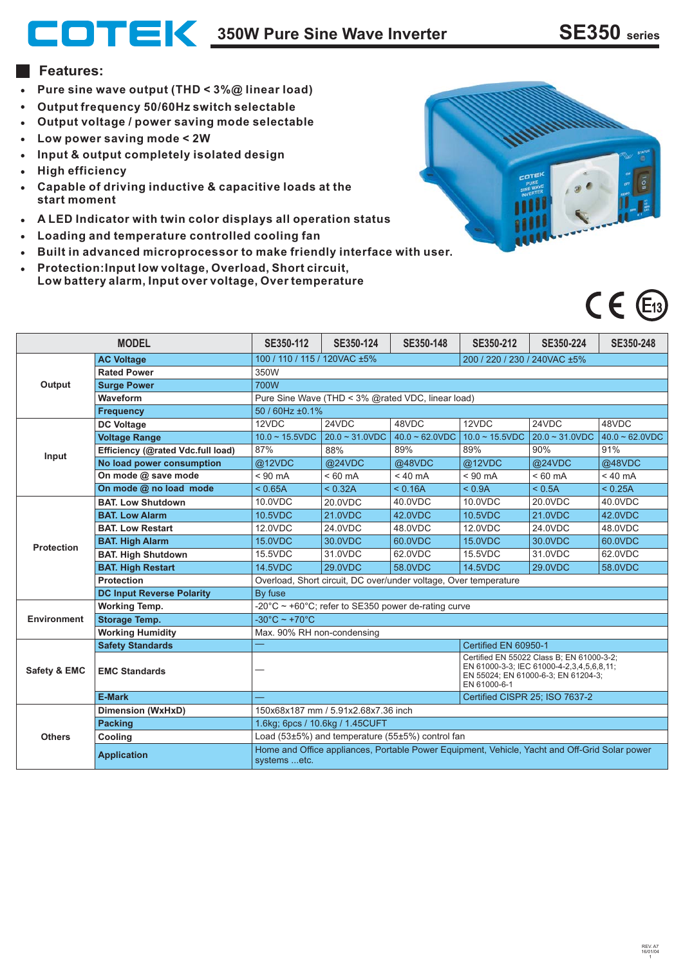**350W Pure Sine Wave Inverter SE350 series**

#### **Features:**

- **Pure sine wave output (THD < 3%@ linear load)**
- **Output frequency 50/60Hz switch selectable**
- **Output voltage / power saving mode selectable**
- **Low power saving mode < 2W**
- **Input & output completely isolated design**
- **High efficiency**
- **Capable of driving inductive & capacitive loads at the start moment**
- **A LED Indicator with twin color displays all operation status**
- **Loading and temperature controlled cooling fan**
- **Built in advanced microprocessor to make friendly interface with user.**
- **Protection:Input low voltage, Overload, Short circuit, Low battery alarm, Input over voltage, Over temperature**





| <b>MODEL</b>       |                                   | SE350-112                                                                                                     | SE350-124                      | SE350-148         | SE350-212                                                                                                                                     | SE350-224         | SE350-248         |  |  |
|--------------------|-----------------------------------|---------------------------------------------------------------------------------------------------------------|--------------------------------|-------------------|-----------------------------------------------------------------------------------------------------------------------------------------------|-------------------|-------------------|--|--|
| Output             | <b>AC Voltage</b>                 | 100 / 110 / 115 / 120VAC ±5%                                                                                  |                                |                   | 200 / 220 / 230 / 240VAC ±5%                                                                                                                  |                   |                   |  |  |
|                    | <b>Rated Power</b>                | 350W                                                                                                          |                                |                   |                                                                                                                                               |                   |                   |  |  |
|                    | <b>Surge Power</b>                | 700W                                                                                                          |                                |                   |                                                                                                                                               |                   |                   |  |  |
|                    | Waveform                          | Pure Sine Wave (THD < 3% @rated VDC, linear load)                                                             |                                |                   |                                                                                                                                               |                   |                   |  |  |
|                    | <b>Frequency</b>                  | 50 / 60Hz ±0.1%                                                                                               |                                |                   |                                                                                                                                               |                   |                   |  |  |
| Input              | <b>DC Voltage</b>                 | 12VDC                                                                                                         | 24VDC                          | 48VDC             | 12VDC                                                                                                                                         | 24VDC             | 48VDC             |  |  |
|                    | <b>Voltage Range</b>              | $10.0 - 15.5$ VDC                                                                                             | $20.0 - 31.0$ VDC              | $40.0 - 62.0$ VDC | $10.0 - 15.5$ VDC                                                                                                                             | $20.0 - 31.0$ VDC | $40.0 - 62.0$ VDC |  |  |
|                    | Efficiency (@rated Vdc.full load) | 87%                                                                                                           | 88%                            | 89%               | 89%                                                                                                                                           | 90%               | 91%               |  |  |
|                    | No load power consumption         | @12VDC                                                                                                        | @24VDC                         | @48VDC            | @12VDC                                                                                                                                        | @24VDC            | @48VDC            |  |  |
|                    | On mode @ save mode               | $< 90$ mA                                                                                                     | $< 60 \text{ mA}$              | $< 40 \text{ mA}$ | $< 90 \text{ mA}$                                                                                                                             | $< 60$ mA         | $< 40 \text{ mA}$ |  |  |
|                    | On mode @ no load mode            | < 0.65A                                                                                                       | < 0.32A                        | < 0.16A           | < 0.9A                                                                                                                                        | < 0.5A            | < 0.25A           |  |  |
| <b>Protection</b>  | <b>BAT. Low Shutdown</b>          | 10.0VDC                                                                                                       | 20.0VDC                        | 40.0VDC           | 10.0VDC                                                                                                                                       | 20.0VDC           | 40.0VDC           |  |  |
|                    | <b>BAT. Low Alarm</b>             | 10.5VDC                                                                                                       | 21.0VDC                        | 42.0VDC           | 10.5VDC                                                                                                                                       | 21.0VDC           | 42.0VDC           |  |  |
|                    | <b>BAT. Low Restart</b>           | 12.0VDC                                                                                                       | 24.0VDC                        | 48.0VDC           | 12.0VDC                                                                                                                                       | 24.0VDC           | 48.0VDC           |  |  |
|                    | <b>BAT. High Alarm</b>            | <b>15.0VDC</b>                                                                                                | 30.0VDC                        | 60.0VDC           | <b>15.0VDC</b>                                                                                                                                | 30.0VDC           | 60.0VDC           |  |  |
|                    | <b>BAT. High Shutdown</b>         | 15.5VDC                                                                                                       | 31.0VDC                        | 62.0VDC           | 15.5VDC                                                                                                                                       | 31.0VDC           | 62.0VDC           |  |  |
|                    | <b>BAT. High Restart</b>          | <b>14.5VDC</b>                                                                                                | 29.0VDC                        | 58.0VDC           | <b>14.5VDC</b>                                                                                                                                | 29.0VDC           | 58.0VDC           |  |  |
|                    | <b>Protection</b>                 | Overload, Short circuit, DC over/under voltage, Over temperature                                              |                                |                   |                                                                                                                                               |                   |                   |  |  |
|                    | <b>DC Input Reverse Polarity</b>  | By fuse                                                                                                       |                                |                   |                                                                                                                                               |                   |                   |  |  |
| <b>Environment</b> | <b>Working Temp.</b>              | -20 $^{\circ}$ C ~ +60 $^{\circ}$ C; refer to SE350 power de-rating curve                                     |                                |                   |                                                                                                                                               |                   |                   |  |  |
|                    | <b>Storage Temp.</b>              | $-30^{\circ}$ C ~ +70 $^{\circ}$ C                                                                            |                                |                   |                                                                                                                                               |                   |                   |  |  |
|                    | <b>Working Humidity</b>           | Max. 90% RH non-condensing                                                                                    |                                |                   |                                                                                                                                               |                   |                   |  |  |
| Safety & EMC       | <b>Safety Standards</b>           | Certified EN 60950-1                                                                                          |                                |                   |                                                                                                                                               |                   |                   |  |  |
|                    | <b>EMC Standards</b>              |                                                                                                               |                                |                   | Certified EN 55022 Class B; EN 61000-3-2;<br>EN 61000-3-3: IEC 61000-4-2.3.4.5.6.8.11:<br>EN 55024; EN 61000-6-3; EN 61204-3;<br>EN 61000-6-1 |                   |                   |  |  |
|                    | <b>E-Mark</b>                     |                                                                                                               | Certified CISPR 25; ISO 7637-2 |                   |                                                                                                                                               |                   |                   |  |  |
| <b>Others</b>      | Dimension (WxHxD)                 | 150x68x187 mm / 5.91x2.68x7.36 inch                                                                           |                                |                   |                                                                                                                                               |                   |                   |  |  |
|                    | <b>Packing</b>                    | 1.6kg; 6pcs / 10.6kg / 1.45CUFT                                                                               |                                |                   |                                                                                                                                               |                   |                   |  |  |
|                    | Cooling                           | Load (53±5%) and temperature (55±5%) control fan                                                              |                                |                   |                                                                                                                                               |                   |                   |  |  |
|                    | <b>Application</b>                | Home and Office appliances, Portable Power Equipment, Vehicle, Yacht and Off-Grid Solar power<br>systems etc. |                                |                   |                                                                                                                                               |                   |                   |  |  |